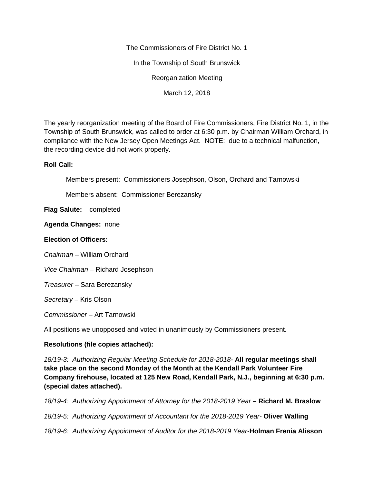The Commissioners of Fire District No. 1 In the Township of South Brunswick Reorganization Meeting

March 12, 2018

The yearly reorganization meeting of the Board of Fire Commissioners, Fire District No. 1, in the Township of South Brunswick, was called to order at 6:30 p.m. by Chairman William Orchard, in compliance with the New Jersey Open Meetings Act. NOTE: due to a technical malfunction, the recording device did not work properly.

## **Roll Call:**

Members present: Commissioners Josephson, Olson, Orchard and Tarnowski

Members absent: Commissioner Berezansky

**Flag Salute:** completed

**Agenda Changes:** none

## **Election of Officers:**

*Chairman –* William Orchard

*Vice Chairman –* Richard Josephson

*Treasurer –* Sara Berezansky

*Secretary –* Kris Olson

*Commissioner –* Art Tarnowski

All positions we unopposed and voted in unanimously by Commissioners present.

## **Resolutions (file copies attached):**

*18/19-3: Authorizing Regular Meeting Schedule for 2018-2018-* **All regular meetings shall take place on the second Monday of the Month at the Kendall Park Volunteer Fire Company firehouse, located at 125 New Road, Kendall Park, N.J., beginning at 6:30 p.m. (special dates attached).**

*18/19-4: Authorizing Appointment of Attorney for the 2018-2019 Year –* **Richard M. Braslow**

*18/19-5: Authorizing Appointment of Accountant for the 2018-2019 Year-* **Oliver Walling**

*18/19-6: Authorizing Appointment of Auditor for the 2018-2019 Year-***Holman Frenia Alisson**